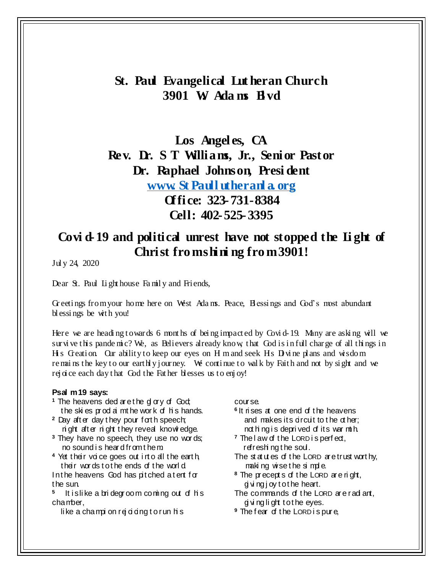# **St. Paul Evangelical Lut heran Church 3901 W. Ada ms Bl vd**

**Los Angel es, CA Rev. Dr. S T Williams, Jr., Senior Pastor Dr. Raphael Johnson, Presi dent [www. St Paull utheranl a. org](http://www.stpaullutheranla.org/) Office: 323-731-8384 Cell: 402-525-3395**

## **Covi d-19 and political unrest have not stopped the Li ght of Christ fromshining from 3901!**

Jul y 24, 2020

Dear St. Paul Light house Family and Friends,

Greetings from your home here on West Adams. Peace, Blossings and God's most abundant bl essings be with you!

Here we are heading towards 6 months of being impacted by Covid-19. Many are asking will we survive this pande mic? We, as Believers already know, that God is in full charge of all things in H s Greation. Our ability to keep our eyes on H m and seek Hs D vine plans and wisdom re mains the key to our earthly journey. We continue to walk by Faith and not by sight and we rej oice each day that God the Father blesses us to enjoy!

#### **Psal m 19 says:**

- <sup>1</sup> The heavens ded are the glory of God; the ski es prod ai mthe work of his hands.
- <sup>2</sup> Day after day they pour forth speech; ni ght aft er ni ght t hey reveal knowl edge.
- **<sup>3</sup>** They have no speech, they use no wor ds; no sound i s hear d from t hem.
- **<sup>4</sup>** Yet t heir voi ce goes out i nt o all the eart h, their words to the ends of the world
- In the heavens God has pitched a tent for the sun.
- **5** It is like a bridegroom coming out of his chamber,

like a champion rejoiding to run his

#### course.

- <sup>6</sup> It rises at one end of the heavens and makes its  $\alpha$  and to the  $\alpha$  her; not hing is deprived of its war mth.
- <sup>7</sup> The law of the LORD is perfect, refreshi ng t he soul.
- The statutes of the LORD are trust worthy, making wise the simple.
- **<sup>8</sup>** The pr ecept s of t he LORD ar e ri ght, gi vi ng j oy t o t he heart.
- The commands of the LORD are radiant, gi vi ng li ght t o t he eyes.
- <sup>9</sup> The fear of the LORD is pure,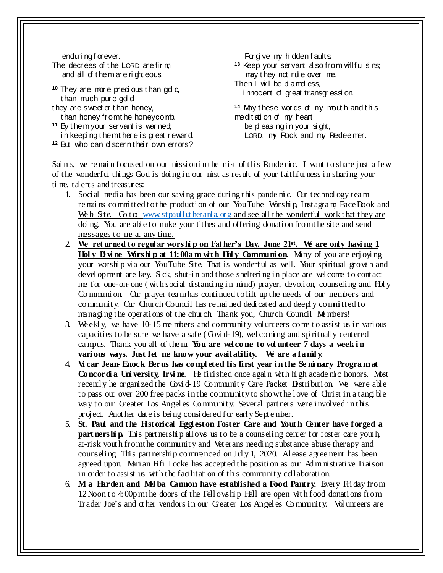enduri ng f or ever. The decrees of the LORD are firm, and all of t hem ar e ri ght eous.

<sup>10</sup> They are more precious than gdd than much pure  $\ddot{q}$ they are sweet er than honey,

- than honey from the honeycomb.
- **<sup>11</sup>** By t hem your servant is war ned; in keeping them there is great reward **<sup>12</sup>** But who can di scer n t heir own errors?

For give my hidden faults. <sup>13</sup> Keep your servant d so from willful sins; may they not rule over me. Then I will be blameless, innocent of great transgression.

<sup>14</sup> May these words of my mouth and this meditation of my heart be pl easing in your sight, LORD, my Rock and my Redeemer.

Sai nts, we remain focused on our mission in the mist of this Pandemic. I want to share just a few of the wonderful thi ngs God is doi ng i n our mist as result of your faithful ness in shari ng your ti me, talents and treasures:

- 1. Social media has been our saving grace during this pande mic. Our technology team re mains committed to the production of our YouTube Worship, Instagram, Face Book and We b Site. Go to: [www. stpaull ut heranl a. org](http://www.stpaullutheranla.org/) and see all the wonderful work that they are doi ng. You are able to make your tithes and offering donation from the site and send messages to me at any time.
- 2. **We ret urned to regul ar worshi p on Fat her's Day, June 21st. We are only havi ng 1**  Holy Divine Worship at 11:00a m with Holy Communion. Many of you are enjoying your worship via our YouTube Site. That is wonderful as well. Your spiritual growth and devel opment are key. Sick, shut-in and those sheltering in place are wel come to contact me for one-on-one (with social distancing in mind) prayer, devotion, counseling and Holy Co mmuni on. Our prayer tea m has conti nued t o lift up t he needs of our members and communit y. Our Church Council has re mai ned dedi cated and deepl y committed to managing the operations of the church. Thank you, Church Council Members!
- 3. We ekl y, we have 10-15 me mbers and communit y vol unt eers come t o assist us in vari ous capacities to be sure we have a safe ( Covi d-19), wel comi ng and spiritually cent ered ca mpus. Thank you all of the m. **You are wel co me to vol unteer 7 days a week i n vari ous ways. Just let me know your avail ability. We are a famil y.**
- 4. **Vi car Jean- Enock Berus has co mpl eted his first year i n the Se mi nary Progra m at Concordi a University, Irvine.** He finished once again with high acade mic honors. Most recently he organized the Covid-19 Community Care Packet Distribution. We were able to pass out over 200 free packs in the communit y to show t he l ove of Christ in a tangi ble way to our Greater Los Angeles Community. Several partners were involved in this pr oject. Anot her date is bei ng consi dered for earl y Sept e mber.
- 5. **St. Paul and t he Historical Eggl eston Foster Care and Yout h Center have forged a part nershi p.** This part nership allows us to be a counseling center for foster care youth, at-risk yout h from the community and Veterans needing substance abuse therapy and counseli ng. This part nershi p commenced on Jul y 1, 2020. A lease agree ment has been agreed upon. Marian Fifi Locke has accepted the position as our Ad ministrative Liaison in order to assist us wit h the facilitation of this communit y collaborati on.
- 6. **Mi a Harden and Mel ba Cannon have established a Food Pantry.** Every Fri day from 12Noon t o 4: 00p m t he doors of the Fell owshi p Hall are open wit h food donati ons from Tr ader Joe's and ot her vendors in our Greater Los Angel es Co mmunit y. Vol unt eers are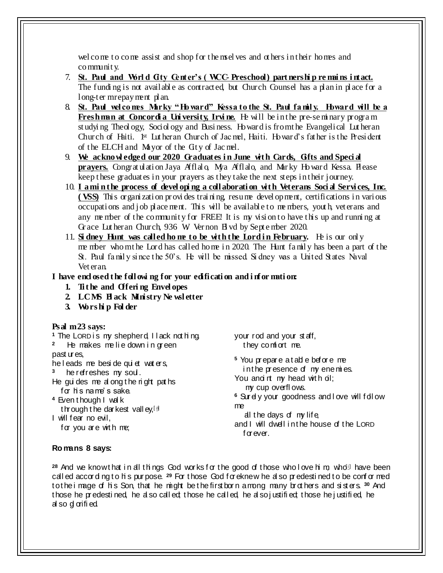wel come to come assist and shop for the mselves and others in their homes and communit y.

- 7. **St. Paul and Worl d City Center's ( WCC- Preschool) part nershi p re mai ns i ntact.** The funding is not available as contracted, but Church Counsel has a plan in place for a long-ter m repayment plan.
- 8. St. Paul wel comes Marky "Howard" Kessa to the St. Paul family. Howard will be a **Freshman at Concordia University, Irvine.** He will be in the pre-seminary program st udying Theology, Sociology and Business. Howard is from the Evangelical Lutheran Church of Haiti. 1st Lut heran Church of Jac mel, Haiti. Howar d's fat her is the Presi dent of the ELCH and Mayor of the Cit y of Jac mel.
- 9. **We acknowl edged our 2020 Graduates i n June wit h Cards, Gifts and Speci al prayers.** Congrat ulation Jaya Afflalo, Mya Afflalo, and Marky Howard Kessa. Please keep t hese graduat es in your prayers as they take the next steps in their journey.
- 10. I amin the process of developing a collaboration with Veterans Social Services, Inc. **( VSS)** This organization provides training resume devel opment, certifications in various occupati ons and j ob place ment. This will be availabl e to me mbers, yout h, vet erans and any me mber of the communit y for FREE! It is my visi on t o have t his up and runni ng at Gr ace Lut heran Church, 936 W. Ver non Bl vd by Sept e mber 2020.
- 11. **Si dney Hunt was called home to be with the Lord in February.** He is our only me mber who m the Lord has called home in 2020. The Hunt family has been a part of the St. Paul family since the 50's. He will be missed. Sidney was a United States Naval Vet eran.

## **I have encl osed t he foll owi ng for your edificati on and i nfor mati on:**

- **1. Ti t he and Offeri ng Envel opes**
- **2. LCMS Bl ack Mi nistry Ne wsl etter**
- **3. Wors hi p Fol der**

## **Psal m 23 says:**

- <sup>1</sup> The LORD is my shepherd, I lack not hing.
- **2** He makes me lie down in green

past ur es,

he leads me beside qui et wat ers,

**3** he refreshes my soul .

He gui des me al ong t he ri ght pat hs for his name's sake.

- **<sup>4</sup>** Even t hough I wal k through the darkest valley,  $[3]$
- I will fear no evil,

for you are with me;

your rod and your st aff, they comf ort me.

**<sup>5</sup>** You pr epar e a t abl e befor e me in the presence of  $m$  enemies. You and nt my head with di; my cup overfl ows.

<sup>6</sup> Surely your goodness and love will follow me

al the days of  $my$  life, and I will dwell in the house of the LORD forever.

## **Ro mans 8 says:**

28 And we know that in all things God works for the good of those who love him, who<sup>fil</sup> have been call ed according to his pur pose. <sup>29</sup> For those God for eknew he also predestined to be conformed to the i mage of his Son, that he might be the first born among many brothers and sisters.<sup>30</sup> And those he predestined, he also called; those he called, he also justified; those he justified, he al so gl orifi ed.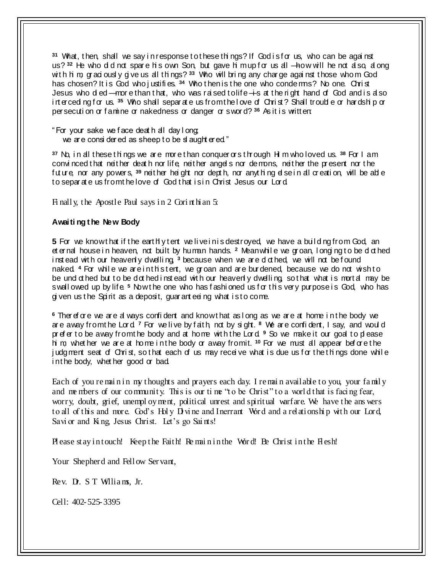<sup>31</sup> What, then, shall we say in response to these things? If Godisforus, who can be against us?<sup>32</sup> He who dd not spare his own Son, but gave him up for us all —how will he not also, al ong with him, grad ously give us all things? <sup>33</sup> Who will bring any charge against those whom God has chosen? It is God who justifies.<sup>34</sup> Who then is the one who conderms? No one. Christ Jesus who died —more than that, who was rai sed to life—is at the right hand of God and is also int erceding for us. <sup>35</sup> Who shall separ at e us from the love of Christ? Shall trouble or hardship or persecution or famine or nakedness or danger or sword? <sup>36</sup> As it is written:

" For your sake we f ace deat h all day l ong; we are considered as sheep to be sl aughter ed."

**<sup>37</sup>** No, i n all these t hi ngs we ar e mor e t han conquer ors t hrough Hi m who loved us. **<sup>38</sup>** For I am convi nced t hat neit her deat h nor life, neit her angel s nor demons, neit her the pr esent nor t he fut ure, nor any power s, **<sup>39</sup>** neit her hei ght nor dept h, nor anyt hi ng el se i n all cr eati on, will be abl e to separate us from the love of God that is in Christ Jesus our Lord.

Fi nall y, the Apostle Paul says in 2 Cori nt hian 5:

#### **Awaiti ng t he New Body**

**5** For we know that if the earthly tent we live in is destroyed, we have a building from God, an et ernal house in heaven, not built by human hands. <sup>2</sup> Meanwhile we groan, longing to be dothed inst ead with our heavenly dwelling<sup>3</sup> because when we are dothed, we will not be found naked. <sup>4</sup> For while we are in this tent, we groan and are burdened, because we do not wish to be und othed but to be dothed instead with our heavenly dwelling so that what is mortal may be swall owed up by life.<sup>5</sup> Now the one who has fashi oned us for this very purpose is God, who has given us the Spirit as a deposit, quar anteeing what is to come.

**<sup>6</sup>** Ther ef or e we ar e al ways confi dent and know t hat as l ong as we ar e at home i n t he body we ar e away from t he Lor d. **<sup>7</sup>** For we li ve by f ait h, not by si ght. **<sup>8</sup>** We ar e confi dent, I say, and woul d pr ef er to be away from the body and at home with the Lord<sup>9</sup> So we make it our goal to please hi m, whet her we ar e at home i n t he body or away from it. **<sup>10</sup>** For we must all appear bef or e t he judgment seat of Christ, so that each of us may receive what is due us for the things done while in the body, whet her good or bad.

Each of you re main in my thoughts and prayers each day. I remain available to you, your family and me mbers of our community. This is our time "to be Christ" to a world that is facing fear, worry, doubt, grief, unempl oy ment, political unrest and spiritual warfare. We have the ans wers to all of this and more. God's Holy Divine and Inerrant Word and a relationship with our Lord, Savi or and King, Jesus Christ. Let's go Saints!

Please stay in touch! Keep the Faith! Re main in the Word! Be Christ in the Hesh!

Your Shepherd and Fellow Servant,

Rev. D. S T Williams, Jr.

Cell: 402-525-3395